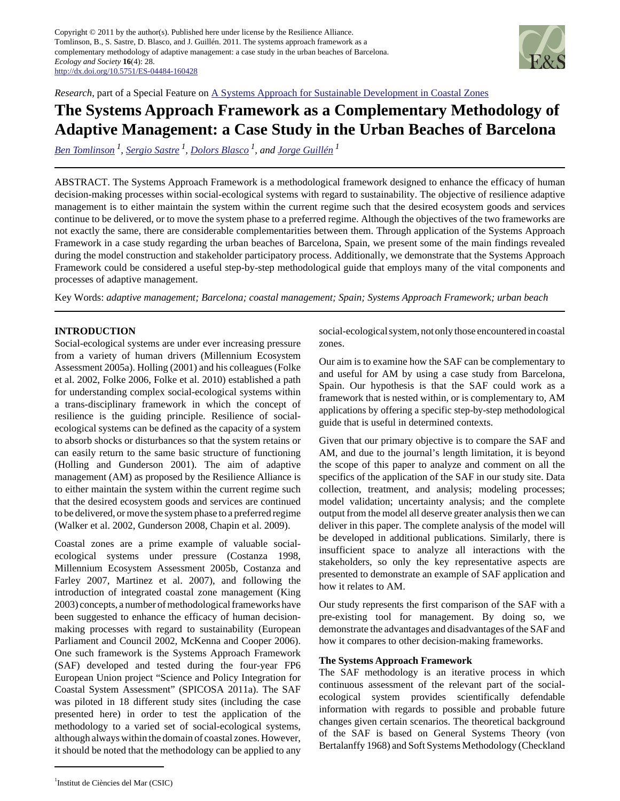

*Research*, part of a Special Feature on [A Systems Approach for Sustainable Development in Coastal Zones](http://www.ecologyandsociety.org/viewissue.php?sf=67)

# **The Systems Approach Framework as a Complementary Methodology of Adaptive Management: a Case Study in the Urban Beaches of Barcelona**

*[Ben Tomlinson](mailto:tomlinson@icm.csic.es)<sup>1</sup> , [Sergio Sastre](mailto:sastre@icm.csic.es)<sup>1</sup> , [Dolors Blasco](mailto:blasco@icm.csic.es) 1, and [Jorge Guillén](mailto:jorge@icm.csic.es)<sup>1</sup>*

ABSTRACT. The Systems Approach Framework is a methodological framework designed to enhance the efficacy of human decision-making processes within social-ecological systems with regard to sustainability. The objective of resilience adaptive management is to either maintain the system within the current regime such that the desired ecosystem goods and services continue to be delivered, or to move the system phase to a preferred regime. Although the objectives of the two frameworks are not exactly the same, there are considerable complementarities between them. Through application of the Systems Approach Framework in a case study regarding the urban beaches of Barcelona, Spain, we present some of the main findings revealed during the model construction and stakeholder participatory process. Additionally, we demonstrate that the Systems Approach Framework could be considered a useful step-by-step methodological guide that employs many of the vital components and processes of adaptive management.

Key Words: *adaptive management; Barcelona; coastal management; Spain; Systems Approach Framework; urban beach*

# **INTRODUCTION**

Social-ecological systems are under ever increasing pressure from a variety of human drivers (Millennium Ecosystem Assessment 2005a). Holling (2001) and his colleagues (Folke et al. 2002, Folke 2006, Folke et al. 2010) established a path for understanding complex social-ecological systems within a trans-disciplinary framework in which the concept of resilience is the guiding principle. Resilience of socialecological systems can be defined as the capacity of a system to absorb shocks or disturbances so that the system retains or can easily return to the same basic structure of functioning (Holling and Gunderson 2001). The aim of adaptive management (AM) as proposed by the Resilience Alliance is to either maintain the system within the current regime such that the desired ecosystem goods and services are continued to be delivered, or move the system phase to a preferred regime (Walker et al. 2002, Gunderson 2008, Chapin et al. 2009).

Coastal zones are a prime example of valuable socialecological systems under pressure (Costanza 1998, Millennium Ecosystem Assessment 2005b, Costanza and Farley 2007, Martinez et al. 2007), and following the introduction of integrated coastal zone management (King 2003) concepts, a number of methodological frameworks have been suggested to enhance the efficacy of human decisionmaking processes with regard to sustainability (European Parliament and Council 2002, McKenna and Cooper 2006). One such framework is the Systems Approach Framework (SAF) developed and tested during the four-year FP6 European Union project "Science and Policy Integration for Coastal System Assessment" (SPICOSA 2011a). The SAF was piloted in 18 different study sites (including the case presented here) in order to test the application of the methodology to a varied set of social-ecological systems, although always within the domain of coastal zones. However, it should be noted that the methodology can be applied to any social-ecological system, not only those encountered in coastal zones.

Our aim is to examine how the SAF can be complementary to and useful for AM by using a case study from Barcelona, Spain. Our hypothesis is that the SAF could work as a framework that is nested within, or is complementary to, AM applications by offering a specific step-by-step methodological guide that is useful in determined contexts.

Given that our primary objective is to compare the SAF and AM, and due to the journal's length limitation, it is beyond the scope of this paper to analyze and comment on all the specifics of the application of the SAF in our study site. Data collection, treatment, and analysis; modeling processes; model validation; uncertainty analysis; and the complete output from the model all deserve greater analysis then we can deliver in this paper. The complete analysis of the model will be developed in additional publications. Similarly, there is insufficient space to analyze all interactions with the stakeholders, so only the key representative aspects are presented to demonstrate an example of SAF application and how it relates to AM.

Our study represents the first comparison of the SAF with a pre-existing tool for management. By doing so, we demonstrate the advantages and disadvantages of the SAF and how it compares to other decision-making frameworks.

# **The Systems Approach Framework**

The SAF methodology is an iterative process in which continuous assessment of the relevant part of the socialecological system provides scientifically defendable information with regards to possible and probable future changes given certain scenarios. The theoretical background of the SAF is based on General Systems Theory (von Bertalanffy 1968) and Soft Systems Methodology (Checkland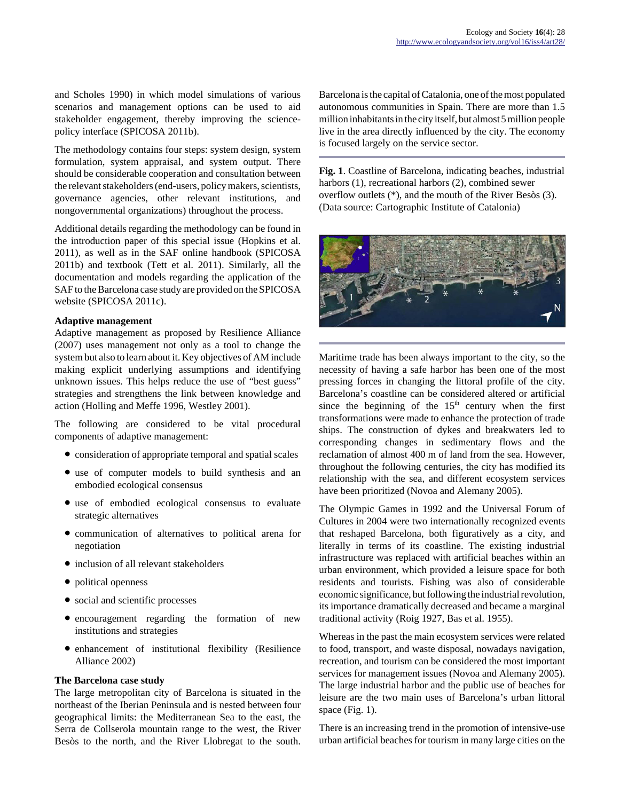and Scholes 1990) in which model simulations of various scenarios and management options can be used to aid stakeholder engagement, thereby improving the sciencepolicy interface (SPICOSA 2011b).

The methodology contains four steps: system design, system formulation, system appraisal, and system output. There should be considerable cooperation and consultation between the relevant stakeholders (end-users, policy makers, scientists, governance agencies, other relevant institutions, and nongovernmental organizations) throughout the process.

Additional details regarding the methodology can be found in the introduction paper of this special issue (Hopkins et al. 2011), as well as in the SAF online handbook (SPICOSA 2011b) and textbook (Tett et al. 2011). Similarly, all the documentation and models regarding the application of the SAF to the Barcelona case study are provided on the SPICOSA website (SPICOSA 2011c).

## **Adaptive management**

Adaptive management as proposed by Resilience Alliance (2007) uses management not only as a tool to change the system but also to learn about it. Key objectives of AM include making explicit underlying assumptions and identifying unknown issues. This helps reduce the use of "best guess" strategies and strengthens the link between knowledge and action (Holling and Meffe 1996, Westley 2001).

The following are considered to be vital procedural components of adaptive management:

- consideration of appropriate temporal and spatial scales
- use of computer models to build synthesis and an embodied ecological consensus
- use of embodied ecological consensus to evaluate strategic alternatives
- communication of alternatives to political arena for negotiation
- inclusion of all relevant stakeholders
- political openness
- social and scientific processes
- encouragement regarding the formation of new institutions and strategies
- enhancement of institutional flexibility (Resilience Alliance 2002)

# **The Barcelona case study**

The large metropolitan city of Barcelona is situated in the northeast of the Iberian Peninsula and is nested between four geographical limits: the Mediterranean Sea to the east, the Serra de Collserola mountain range to the west, the River Besòs to the north, and the River Llobregat to the south. Barcelona is the capital of Catalonia, one of the most populated autonomous communities in Spain. There are more than 1.5 million inhabitants in the city itself, but almost 5 million people live in the area directly influenced by the city. The economy is focused largely on the service sector.

**Fig. 1**. Coastline of Barcelona, indicating beaches, industrial harbors (1), recreational harbors (2), combined sewer overflow outlets (\*), and the mouth of the River Besòs (3). (Data source: Cartographic Institute of Catalonia)



Maritime trade has been always important to the city, so the necessity of having a safe harbor has been one of the most pressing forces in changing the littoral profile of the city. Barcelona's coastline can be considered altered or artificial since the beginning of the  $15<sup>th</sup>$  century when the first transformations were made to enhance the protection of trade ships. The construction of dykes and breakwaters led to corresponding changes in sedimentary flows and the reclamation of almost 400 m of land from the sea. However, throughout the following centuries, the city has modified its relationship with the sea, and different ecosystem services have been prioritized (Novoa and Alemany 2005).

The Olympic Games in 1992 and the Universal Forum of Cultures in 2004 were two internationally recognized events that reshaped Barcelona, both figuratively as a city, and literally in terms of its coastline. The existing industrial infrastructure was replaced with artificial beaches within an urban environment, which provided a leisure space for both residents and tourists. Fishing was also of considerable economic significance, but following the industrial revolution, its importance dramatically decreased and became a marginal traditional activity (Roig 1927, Bas et al. 1955).

Whereas in the past the main ecosystem services were related to food, transport, and waste disposal, nowadays navigation, recreation, and tourism can be considered the most important services for management issues (Novoa and Alemany 2005). The large industrial harbor and the public use of beaches for leisure are the two main uses of Barcelona's urban littoral space (Fig. 1).

There is an increasing trend in the promotion of intensive-use urban artificial beaches for tourism in many large cities on the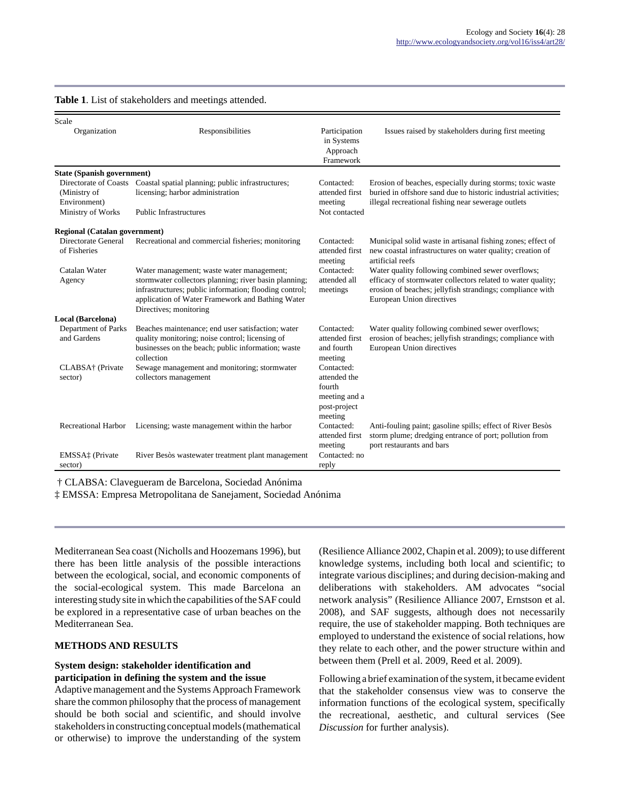| Scale                                                                      |                                                                                                                                                                                                                                            |                                                          |                                                                                                                                                                                                            |
|----------------------------------------------------------------------------|--------------------------------------------------------------------------------------------------------------------------------------------------------------------------------------------------------------------------------------------|----------------------------------------------------------|------------------------------------------------------------------------------------------------------------------------------------------------------------------------------------------------------------|
| Organization                                                               | Responsibilities                                                                                                                                                                                                                           | Participation<br>in Systems<br>Approach<br>Framework     | Issues raised by stakeholders during first meeting                                                                                                                                                         |
| <b>State (Spanish government)</b>                                          |                                                                                                                                                                                                                                            |                                                          |                                                                                                                                                                                                            |
| Directorate of Coasts<br>(Ministry of<br>Environment)<br>Ministry of Works | Coastal spatial planning; public infrastructures;<br>licensing; harbor administration<br><b>Public Infrastructures</b>                                                                                                                     | Contacted:<br>attended first<br>meeting<br>Not contacted | Erosion of beaches, especially during storms; toxic waste<br>buried in offshore sand due to historic industrial activities:<br>illegal recreational fishing near sewerage outlets                          |
|                                                                            |                                                                                                                                                                                                                                            |                                                          |                                                                                                                                                                                                            |
| <b>Regional (Catalan government)</b>                                       |                                                                                                                                                                                                                                            |                                                          |                                                                                                                                                                                                            |
| Directorate General<br>of Fisheries                                        | Recreational and commercial fisheries; monitoring                                                                                                                                                                                          | Contacted:<br>attended first<br>meeting                  | Municipal solid waste in artisanal fishing zones; effect of<br>new coastal infrastructures on water quality; creation of<br>artificial reefs                                                               |
| Catalan Water<br>Agency                                                    | Water management; waste water management;<br>stormwater collectors planning; river basin planning;<br>infrastructures; public information; flooding control;<br>application of Water Framework and Bathing Water<br>Directives; monitoring | Contacted:<br>attended all<br>meetings                   | Water quality following combined sewer overflows;<br>efficacy of stormwater collectors related to water quality;<br>erosion of beaches; jellyfish strandings; compliance with<br>European Union directives |
| Local (Barcelona)                                                          |                                                                                                                                                                                                                                            |                                                          |                                                                                                                                                                                                            |
| Department of Parks<br>and Gardens                                         | Beaches maintenance; end user satisfaction; water<br>quality monitoring; noise control; licensing of<br>businesses on the beach; public information; waste<br>collection                                                                   | Contacted:<br>attended first<br>and fourth<br>meeting    | Water quality following combined sewer overflows;<br>erosion of beaches; jellyfish strandings; compliance with<br>European Union directives                                                                |
| CLABSA <sup>†</sup> (Private<br>sector)                                    | Sewage management and monitoring; stormwater<br>collectors management                                                                                                                                                                      | Contacted:<br>attended the<br>fourth                     |                                                                                                                                                                                                            |
|                                                                            |                                                                                                                                                                                                                                            | meeting and a<br>post-project<br>meeting                 |                                                                                                                                                                                                            |
| <b>Recreational Harbor</b>                                                 | Licensing; waste management within the harbor                                                                                                                                                                                              | Contacted:<br>attended first<br>meeting                  | Anti-fouling paint; gasoline spills; effect of River Besòs<br>storm plume; dredging entrance of port; pollution from<br>port restaurants and bars                                                          |
| EMSSA <sup>†</sup> (Private<br>sector)                                     | River Besòs wastewater treatment plant management                                                                                                                                                                                          | Contacted: no<br>reply                                   |                                                                                                                                                                                                            |

#### **Table 1**. List of stakeholders and meetings attended.

† CLABSA: Clavegueram de Barcelona, Sociedad Anónima

‡ EMSSA: Empresa Metropolitana de Sanejament, Sociedad Anónima

Mediterranean Sea coast (Nicholls and Hoozemans 1996), but there has been little analysis of the possible interactions between the ecological, social, and economic components of the social-ecological system. This made Barcelona an interesting study site in which the capabilities of the SAF could be explored in a representative case of urban beaches on the Mediterranean Sea.

#### **METHODS AND RESULTS**

# **System design: stakeholder identification and participation in defining the system and the issue**

Adaptive management and the Systems Approach Framework share the common philosophy that the process of management should be both social and scientific, and should involve stakeholders in constructing conceptual models (mathematical or otherwise) to improve the understanding of the system (Resilience Alliance 2002, Chapin et al. 2009); to use different knowledge systems, including both local and scientific; to integrate various disciplines; and during decision-making and deliberations with stakeholders. AM advocates "social network analysis" (Resilience Alliance 2007, Ernstson et al. 2008), and SAF suggests, although does not necessarily require, the use of stakeholder mapping. Both techniques are employed to understand the existence of social relations, how they relate to each other, and the power structure within and between them (Prell et al. 2009, Reed et al. 2009).

Following a brief examination of the system, it became evident that the stakeholder consensus view was to conserve the information functions of the ecological system, specifically the recreational, aesthetic, and cultural services (See *Discussion* for further analysis).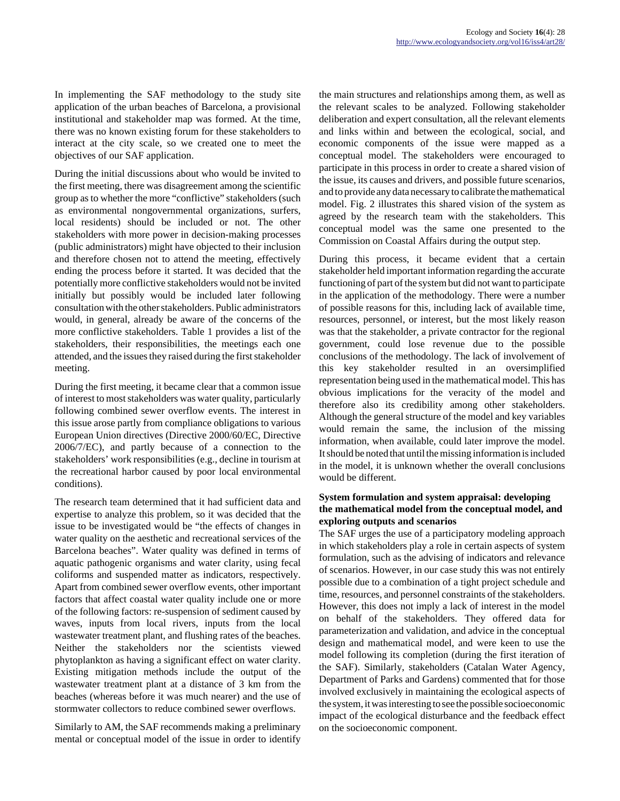In implementing the SAF methodology to the study site application of the urban beaches of Barcelona, a provisional institutional and stakeholder map was formed. At the time, there was no known existing forum for these stakeholders to interact at the city scale, so we created one to meet the objectives of our SAF application.

During the initial discussions about who would be invited to the first meeting, there was disagreement among the scientific group as to whether the more "conflictive" stakeholders (such as environmental nongovernmental organizations, surfers, local residents) should be included or not. The other stakeholders with more power in decision-making processes (public administrators) might have objected to their inclusion and therefore chosen not to attend the meeting, effectively ending the process before it started. It was decided that the potentially more conflictive stakeholders would not be invited initially but possibly would be included later following consultation with the other stakeholders. Public administrators would, in general, already be aware of the concerns of the more conflictive stakeholders. Table 1 provides a list of the stakeholders, their responsibilities, the meetings each one attended, and the issues they raised during the first stakeholder meeting.

During the first meeting, it became clear that a common issue of interest to most stakeholders was water quality, particularly following combined sewer overflow events. The interest in this issue arose partly from compliance obligations to various European Union directives (Directive 2000/60/EC, Directive 2006/7/EC), and partly because of a connection to the stakeholders' work responsibilities (e.g., decline in tourism at the recreational harbor caused by poor local environmental conditions).

The research team determined that it had sufficient data and expertise to analyze this problem, so it was decided that the issue to be investigated would be "the effects of changes in water quality on the aesthetic and recreational services of the Barcelona beaches". Water quality was defined in terms of aquatic pathogenic organisms and water clarity, using fecal coliforms and suspended matter as indicators, respectively. Apart from combined sewer overflow events, other important factors that affect coastal water quality include one or more of the following factors: re-suspension of sediment caused by waves, inputs from local rivers, inputs from the local wastewater treatment plant, and flushing rates of the beaches. Neither the stakeholders nor the scientists viewed phytoplankton as having a significant effect on water clarity. Existing mitigation methods include the output of the wastewater treatment plant at a distance of 3 km from the beaches (whereas before it was much nearer) and the use of stormwater collectors to reduce combined sewer overflows.

Similarly to AM, the SAF recommends making a preliminary mental or conceptual model of the issue in order to identify the main structures and relationships among them, as well as the relevant scales to be analyzed. Following stakeholder deliberation and expert consultation, all the relevant elements and links within and between the ecological, social, and economic components of the issue were mapped as a conceptual model. The stakeholders were encouraged to participate in this process in order to create a shared vision of the issue, its causes and drivers, and possible future scenarios, and to provide any data necessary to calibrate the mathematical model. Fig. 2 illustrates this shared vision of the system as agreed by the research team with the stakeholders. This conceptual model was the same one presented to the Commission on Coastal Affairs during the output step.

During this process, it became evident that a certain stakeholder held important information regarding the accurate functioning of part of the system but did not want to participate in the application of the methodology. There were a number of possible reasons for this, including lack of available time, resources, personnel, or interest, but the most likely reason was that the stakeholder, a private contractor for the regional government, could lose revenue due to the possible conclusions of the methodology. The lack of involvement of this key stakeholder resulted in an oversimplified representation being used in the mathematical model. This has obvious implications for the veracity of the model and therefore also its credibility among other stakeholders. Although the general structure of the model and key variables would remain the same, the inclusion of the missing information, when available, could later improve the model. It should be noted that until the missing information is included in the model, it is unknown whether the overall conclusions would be different.

# **System formulation and system appraisal: developing the mathematical model from the conceptual model, and exploring outputs and scenarios**

The SAF urges the use of a participatory modeling approach in which stakeholders play a role in certain aspects of system formulation, such as the advising of indicators and relevance of scenarios. However, in our case study this was not entirely possible due to a combination of a tight project schedule and time, resources, and personnel constraints of the stakeholders. However, this does not imply a lack of interest in the model on behalf of the stakeholders. They offered data for parameterization and validation, and advice in the conceptual design and mathematical model, and were keen to use the model following its completion (during the first iteration of the SAF). Similarly, stakeholders (Catalan Water Agency, Department of Parks and Gardens) commented that for those involved exclusively in maintaining the ecological aspects of the system, it was interesting to see the possible socioeconomic impact of the ecological disturbance and the feedback effect on the socioeconomic component.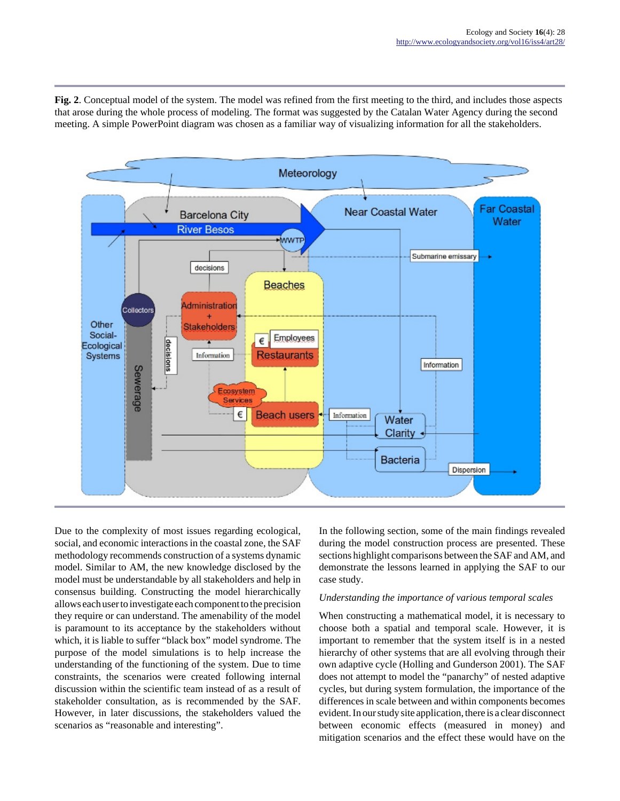**Fig. 2**. Conceptual model of the system. The model was refined from the first meeting to the third, and includes those aspects that arose during the whole process of modeling. The format was suggested by the Catalan Water Agency during the second meeting. A simple PowerPoint diagram was chosen as a familiar way of visualizing information for all the stakeholders.



Due to the complexity of most issues regarding ecological, social, and economic interactions in the coastal zone, the SAF methodology recommends construction of a systems dynamic model. Similar to AM, the new knowledge disclosed by the model must be understandable by all stakeholders and help in consensus building. Constructing the model hierarchically allows each user to investigate each component to the precision they require or can understand. The amenability of the model is paramount to its acceptance by the stakeholders without which, it is liable to suffer "black box" model syndrome. The purpose of the model simulations is to help increase the understanding of the functioning of the system. Due to time constraints, the scenarios were created following internal discussion within the scientific team instead of as a result of stakeholder consultation, as is recommended by the SAF. However, in later discussions, the stakeholders valued the scenarios as "reasonable and interesting".

In the following section, some of the main findings revealed during the model construction process are presented. These sections highlight comparisons between the SAF and AM, and demonstrate the lessons learned in applying the SAF to our case study.

## *Understanding the importance of various temporal scales*

When constructing a mathematical model, it is necessary to choose both a spatial and temporal scale. However, it is important to remember that the system itself is in a nested hierarchy of other systems that are all evolving through their own adaptive cycle (Holling and Gunderson 2001). The SAF does not attempt to model the "panarchy" of nested adaptive cycles, but during system formulation, the importance of the differences in scale between and within components becomes evident. In our study site application, there is a clear disconnect between economic effects (measured in money) and mitigation scenarios and the effect these would have on the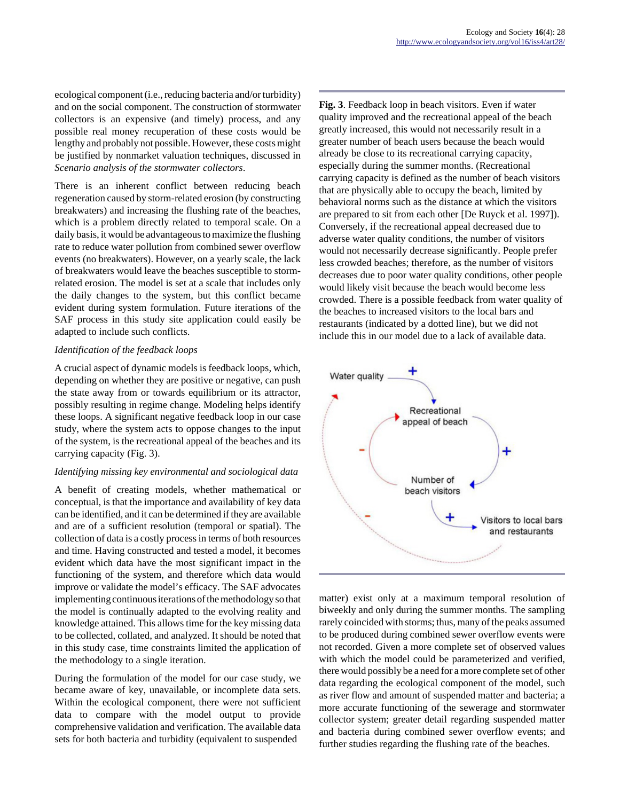ecological component (i.e., reducing bacteria and/or turbidity) and on the social component. The construction of stormwater collectors is an expensive (and timely) process, and any possible real money recuperation of these costs would be lengthy and probably not possible. However, these costs might be justified by nonmarket valuation techniques, discussed in *Scenario analysis of the stormwater collectors*.

There is an inherent conflict between reducing beach regeneration caused by storm-related erosion (by constructing breakwaters) and increasing the flushing rate of the beaches, which is a problem directly related to temporal scale. On a daily basis, it would be advantageous to maximize the flushing rate to reduce water pollution from combined sewer overflow events (no breakwaters). However, on a yearly scale, the lack of breakwaters would leave the beaches susceptible to stormrelated erosion. The model is set at a scale that includes only the daily changes to the system, but this conflict became evident during system formulation. Future iterations of the SAF process in this study site application could easily be adapted to include such conflicts.

# *Identification of the feedback loops*

A crucial aspect of dynamic models is feedback loops, which, depending on whether they are positive or negative, can push the state away from or towards equilibrium or its attractor, possibly resulting in regime change. Modeling helps identify these loops. A significant negative feedback loop in our case study, where the system acts to oppose changes to the input of the system, is the recreational appeal of the beaches and its carrying capacity (Fig. 3).

# *Identifying missing key environmental and sociological data*

A benefit of creating models, whether mathematical or conceptual, is that the importance and availability of key data can be identified, and it can be determined if they are available and are of a sufficient resolution (temporal or spatial). The collection of data is a costly process in terms of both resources and time. Having constructed and tested a model, it becomes evident which data have the most significant impact in the functioning of the system, and therefore which data would improve or validate the model's efficacy. The SAF advocates implementing continuous iterations of the methodology so that the model is continually adapted to the evolving reality and knowledge attained. This allows time for the key missing data to be collected, collated, and analyzed. It should be noted that in this study case, time constraints limited the application of the methodology to a single iteration.

During the formulation of the model for our case study, we became aware of key, unavailable, or incomplete data sets. Within the ecological component, there were not sufficient data to compare with the model output to provide comprehensive validation and verification. The available data sets for both bacteria and turbidity (equivalent to suspended

**Fig. 3**. Feedback loop in beach visitors. Even if water quality improved and the recreational appeal of the beach greatly increased, this would not necessarily result in a greater number of beach users because the beach would already be close to its recreational carrying capacity, especially during the summer months. (Recreational carrying capacity is defined as the number of beach visitors that are physically able to occupy the beach, limited by behavioral norms such as the distance at which the visitors are prepared to sit from each other [De Ruyck et al. 1997]). Conversely, if the recreational appeal decreased due to adverse water quality conditions, the number of visitors would not necessarily decrease significantly. People prefer less crowded beaches; therefore, as the number of visitors decreases due to poor water quality conditions, other people would likely visit because the beach would become less crowded. There is a possible feedback from water quality of the beaches to increased visitors to the local bars and restaurants (indicated by a dotted line), but we did not include this in our model due to a lack of available data.



matter) exist only at a maximum temporal resolution of biweekly and only during the summer months. The sampling rarely coincided with storms; thus, many of the peaks assumed to be produced during combined sewer overflow events were not recorded. Given a more complete set of observed values with which the model could be parameterized and verified, there would possibly be a need for a more complete set of other data regarding the ecological component of the model, such as river flow and amount of suspended matter and bacteria; a more accurate functioning of the sewerage and stormwater collector system; greater detail regarding suspended matter and bacteria during combined sewer overflow events; and further studies regarding the flushing rate of the beaches.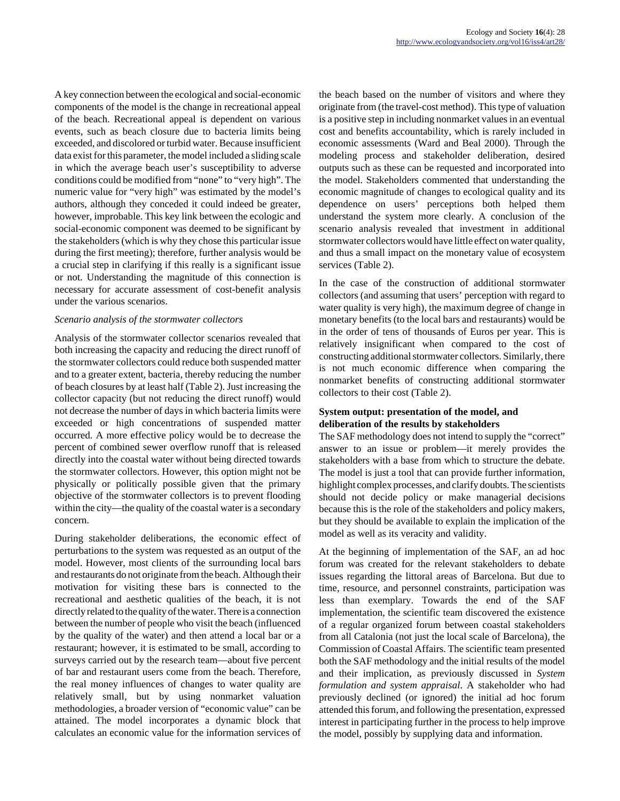A key connection between the ecological and social-economic components of the model is the change in recreational appeal of the beach. Recreational appeal is dependent on various events, such as beach closure due to bacteria limits being exceeded, and discolored or turbid water. Because insufficient data exist for this parameter, the model included a sliding scale in which the average beach user's susceptibility to adverse conditions could be modified from "none" to "very high". The numeric value for "very high" was estimated by the model's authors, although they conceded it could indeed be greater, however, improbable. This key link between the ecologic and social-economic component was deemed to be significant by the stakeholders (which is why they chose this particular issue during the first meeting); therefore, further analysis would be a crucial step in clarifying if this really is a significant issue or not. Understanding the magnitude of this connection is necessary for accurate assessment of cost-benefit analysis under the various scenarios.

#### *Scenario analysis of the stormwater collectors*

Analysis of the stormwater collector scenarios revealed that both increasing the capacity and reducing the direct runoff of the stormwater collectors could reduce both suspended matter and to a greater extent, bacteria, thereby reducing the number of beach closures by at least half (Table 2). Just increasing the collector capacity (but not reducing the direct runoff) would not decrease the number of days in which bacteria limits were exceeded or high concentrations of suspended matter occurred. A more effective policy would be to decrease the percent of combined sewer overflow runoff that is released directly into the coastal water without being directed towards the stormwater collectors. However, this option might not be physically or politically possible given that the primary objective of the stormwater collectors is to prevent flooding within the city—the quality of the coastal water is a secondary concern.

During stakeholder deliberations, the economic effect of perturbations to the system was requested as an output of the model. However, most clients of the surrounding local bars and restaurants do not originate from the beach. Although their motivation for visiting these bars is connected to the recreational and aesthetic qualities of the beach, it is not directly related to the quality of the water. There is a connection between the number of people who visit the beach (influenced by the quality of the water) and then attend a local bar or a restaurant; however, it is estimated to be small, according to surveys carried out by the research team—about five percent of bar and restaurant users come from the beach. Therefore, the real money influences of changes to water quality are relatively small, but by using nonmarket valuation methodologies, a broader version of "economic value" can be attained. The model incorporates a dynamic block that calculates an economic value for the information services of the beach based on the number of visitors and where they originate from (the travel-cost method). This type of valuation is a positive step in including nonmarket values in an eventual cost and benefits accountability, which is rarely included in economic assessments (Ward and Beal 2000). Through the modeling process and stakeholder deliberation, desired outputs such as these can be requested and incorporated into the model. Stakeholders commented that understanding the economic magnitude of changes to ecological quality and its dependence on users' perceptions both helped them understand the system more clearly. A conclusion of the scenario analysis revealed that investment in additional stormwater collectors would have little effect on water quality, and thus a small impact on the monetary value of ecosystem services (Table 2).

In the case of the construction of additional stormwater collectors (and assuming that users' perception with regard to water quality is very high), the maximum degree of change in monetary benefits (to the local bars and restaurants) would be in the order of tens of thousands of Euros per year. This is relatively insignificant when compared to the cost of constructing additional stormwater collectors. Similarly, there is not much economic difference when comparing the nonmarket benefits of constructing additional stormwater collectors to their cost (Table 2).

# **System output: presentation of the model, and deliberation of the results by stakeholders**

The SAF methodology does not intend to supply the "correct" answer to an issue or problem—it merely provides the stakeholders with a base from which to structure the debate. The model is just a tool that can provide further information, highlight complex processes, and clarify doubts. The scientists should not decide policy or make managerial decisions because this is the role of the stakeholders and policy makers, but they should be available to explain the implication of the model as well as its veracity and validity.

At the beginning of implementation of the SAF, an ad hoc forum was created for the relevant stakeholders to debate issues regarding the littoral areas of Barcelona. But due to time, resource, and personnel constraints, participation was less than exemplary. Towards the end of the SAF implementation, the scientific team discovered the existence of a regular organized forum between coastal stakeholders from all Catalonia (not just the local scale of Barcelona), the Commission of Coastal Affairs. The scientific team presented both the SAF methodology and the initial results of the model and their implication, as previously discussed in *System formulation and system appraisal*. A stakeholder who had previously declined (or ignored) the initial ad hoc forum attended this forum, and following the presentation, expressed interest in participating further in the process to help improve the model, possibly by supplying data and information.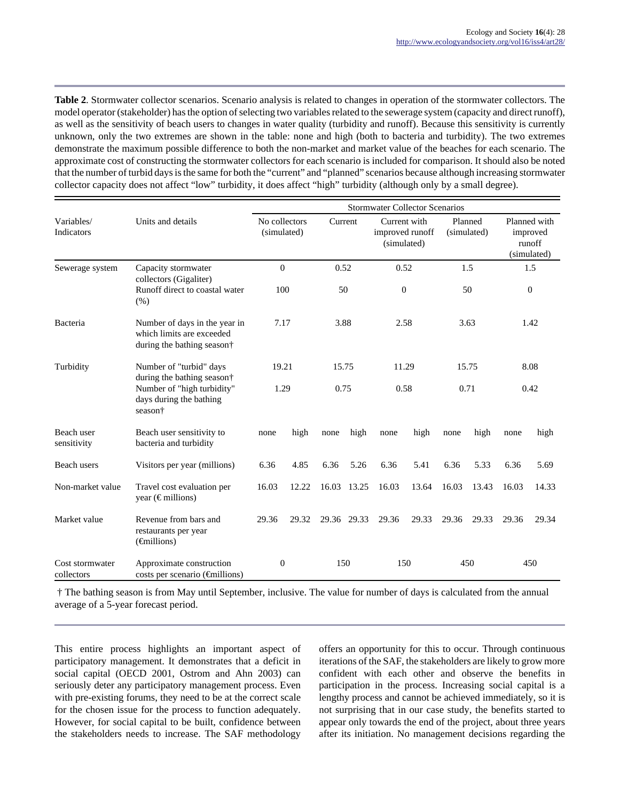**Table 2**. Stormwater collector scenarios. Scenario analysis is related to changes in operation of the stormwater collectors. The model operator (stakeholder) has the option of selecting two variables related to the sewerage system (capacity and direct runoff), as well as the sensitivity of beach users to changes in water quality (turbidity and runoff). Because this sensitivity is currently unknown, only the two extremes are shown in the table: none and high (both to bacteria and turbidity). The two extremes demonstrate the maximum possible difference to both the non-market and market value of the beaches for each scenario. The approximate cost of constructing the stormwater collectors for each scenario is included for comparison. It should also be noted that the number of turbid days is the same for both the "current" and "planned" scenarios because although increasing stormwater collector capacity does not affect "low" turbidity, it does affect "high" turbidity (although only by a small degree).

|                               |                                                                                                                                       | <b>Stormwater Collector Scenarios</b> |       |       |             |                                                |       |                        |       |                                                   |       |
|-------------------------------|---------------------------------------------------------------------------------------------------------------------------------------|---------------------------------------|-------|-------|-------------|------------------------------------------------|-------|------------------------|-------|---------------------------------------------------|-------|
| Variables/<br>Indicators      | Units and details                                                                                                                     | No collectors<br>(simulated)          |       |       | Current     | Current with<br>improved runoff<br>(simulated) |       | Planned<br>(simulated) |       | Planned with<br>improved<br>runoff<br>(simulated) |       |
| Sewerage system               | Capacity stormwater<br>collectors (Gigaliter)                                                                                         | $\Omega$                              |       | 0.52  |             | 0.52                                           |       | 1.5                    |       | 1.5                                               |       |
|                               | Runoff direct to coastal water<br>(% )                                                                                                | 100                                   |       | 50    |             | $\overline{0}$                                 |       | 50                     |       | $\overline{0}$                                    |       |
| Bacteria                      | Number of days in the year in<br>which limits are exceeded<br>during the bathing season†                                              | 7.17                                  |       | 3.88  |             | 2.58                                           |       | 3.63                   |       | 1.42                                              |       |
| Turbidity                     | Number of "turbid" days<br>during the bathing season†<br>Number of "high turbidity"<br>days during the bathing<br>season <sup>+</sup> | 19.21                                 |       | 15.75 |             | 11.29                                          |       | 15.75                  |       | 8.08                                              |       |
|                               |                                                                                                                                       | 1.29                                  |       | 0.75  |             | 0.58                                           |       | 0.71                   |       | 0.42                                              |       |
| Beach user<br>sensitivity     | Beach user sensitivity to<br>bacteria and turbidity                                                                                   | none                                  | high  | none  | high        | none                                           | high  | none                   | high  | none                                              | high  |
| Beach users                   | Visitors per year (millions)                                                                                                          | 6.36                                  | 4.85  | 6.36  | 5.26        | 6.36                                           | 5.41  | 6.36                   | 5.33  | 6.36                                              | 5.69  |
| Non-market value              | Travel cost evaluation per<br>year ( $\epsilon$ millions)                                                                             | 16.03                                 | 12.22 | 16.03 | 13.25       | 16.03                                          | 13.64 | 16.03                  | 13.43 | 16.03                                             | 14.33 |
| Market value                  | Revenue from bars and<br>restaurants per year<br>$(\text{Imillions})$                                                                 | 29.36                                 | 29.32 |       | 29.36 29.33 | 29.36                                          | 29.33 | 29.36                  | 29.33 | 29.36                                             | 29.34 |
| Cost stormwater<br>collectors | Approximate construction<br>$costs$ per scenario ( $\oplus$ nillions)                                                                 | $\mathbf{0}$                          |       | 150   |             | 150                                            |       | 450                    |       | 450                                               |       |

 † The bathing season is from May until September, inclusive. The value for number of days is calculated from the annual average of a 5-year forecast period.

This entire process highlights an important aspect of participatory management. It demonstrates that a deficit in social capital (OECD 2001, Ostrom and Ahn 2003) can seriously deter any participatory management process. Even with pre-existing forums, they need to be at the correct scale for the chosen issue for the process to function adequately. However, for social capital to be built, confidence between the stakeholders needs to increase. The SAF methodology offers an opportunity for this to occur. Through continuous iterations of the SAF, the stakeholders are likely to grow more confident with each other and observe the benefits in participation in the process. Increasing social capital is a lengthy process and cannot be achieved immediately, so it is not surprising that in our case study, the benefits started to appear only towards the end of the project, about three years after its initiation. No management decisions regarding the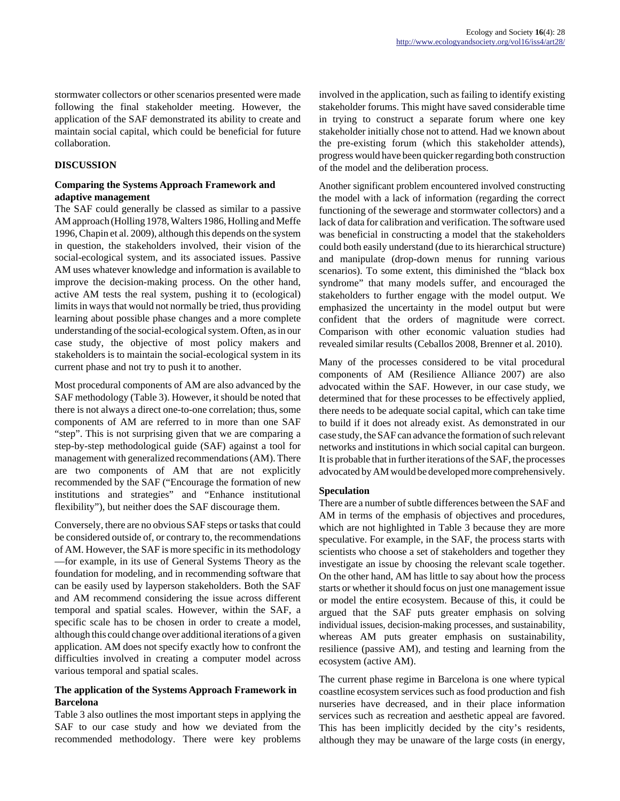stormwater collectors or other scenarios presented were made following the final stakeholder meeting. However, the application of the SAF demonstrated its ability to create and maintain social capital, which could be beneficial for future collaboration.

# **DISCUSSION**

# **Comparing the Systems Approach Framework and adaptive management**

The SAF could generally be classed as similar to a passive AM approach (Holling 1978, Walters 1986, Holling and Meffe 1996, Chapin et al. 2009), although this depends on the system in question, the stakeholders involved, their vision of the social-ecological system, and its associated issues. Passive AM uses whatever knowledge and information is available to improve the decision-making process. On the other hand, active AM tests the real system, pushing it to (ecological) limits in ways that would not normally be tried, thus providing learning about possible phase changes and a more complete understanding of the social-ecological system. Often, as in our case study, the objective of most policy makers and stakeholders is to maintain the social-ecological system in its current phase and not try to push it to another.

Most procedural components of AM are also advanced by the SAF methodology (Table 3). However, it should be noted that there is not always a direct one-to-one correlation; thus, some components of AM are referred to in more than one SAF "step". This is not surprising given that we are comparing a step-by-step methodological guide (SAF) against a tool for management with generalized recommendations (AM). There are two components of AM that are not explicitly recommended by the SAF ("Encourage the formation of new institutions and strategies" and "Enhance institutional flexibility"), but neither does the SAF discourage them.

Conversely, there are no obvious SAF steps or tasks that could be considered outside of, or contrary to, the recommendations of AM. However, the SAF is more specific in its methodology —for example, in its use of General Systems Theory as the foundation for modeling, and in recommending software that can be easily used by layperson stakeholders. Both the SAF and AM recommend considering the issue across different temporal and spatial scales. However, within the SAF, a specific scale has to be chosen in order to create a model, although this could change over additional iterations of a given application. AM does not specify exactly how to confront the difficulties involved in creating a computer model across various temporal and spatial scales.

# **The application of the Systems Approach Framework in Barcelona**

Table 3 also outlines the most important steps in applying the SAF to our case study and how we deviated from the recommended methodology. There were key problems involved in the application, such as failing to identify existing stakeholder forums. This might have saved considerable time in trying to construct a separate forum where one key stakeholder initially chose not to attend. Had we known about the pre-existing forum (which this stakeholder attends), progress would have been quicker regarding both construction of the model and the deliberation process.

Another significant problem encountered involved constructing the model with a lack of information (regarding the correct functioning of the sewerage and stormwater collectors) and a lack of data for calibration and verification. The software used was beneficial in constructing a model that the stakeholders could both easily understand (due to its hierarchical structure) and manipulate (drop-down menus for running various scenarios). To some extent, this diminished the "black box syndrome" that many models suffer, and encouraged the stakeholders to further engage with the model output. We emphasized the uncertainty in the model output but were confident that the orders of magnitude were correct. Comparison with other economic valuation studies had revealed similar results (Ceballos 2008, Brenner et al. 2010).

Many of the processes considered to be vital procedural components of AM (Resilience Alliance 2007) are also advocated within the SAF. However, in our case study, we determined that for these processes to be effectively applied, there needs to be adequate social capital, which can take time to build if it does not already exist. As demonstrated in our case study, the SAF can advance the formation of such relevant networks and institutions in which social capital can burgeon. It is probable that in further iterations of the SAF, the processes advocated by AM would be developed more comprehensively.

## **Speculation**

There are a number of subtle differences between the SAF and AM in terms of the emphasis of objectives and procedures, which are not highlighted in Table 3 because they are more speculative. For example, in the SAF, the process starts with scientists who choose a set of stakeholders and together they investigate an issue by choosing the relevant scale together. On the other hand, AM has little to say about how the process starts or whether it should focus on just one management issue or model the entire ecosystem. Because of this, it could be argued that the SAF puts greater emphasis on solving individual issues, decision-making processes, and sustainability, whereas AM puts greater emphasis on sustainability, resilience (passive AM), and testing and learning from the ecosystem (active AM).

The current phase regime in Barcelona is one where typical coastline ecosystem services such as food production and fish nurseries have decreased, and in their place information services such as recreation and aesthetic appeal are favored. This has been implicitly decided by the city's residents, although they may be unaware of the large costs (in energy,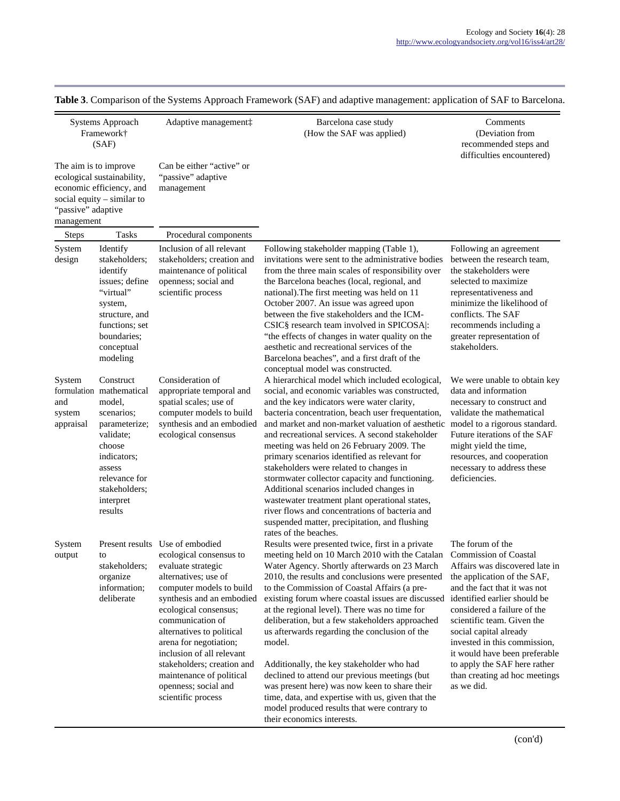|                                                           | Systems Approach<br>Framework†<br>(SAF)                                                                                                                                                  | Adaptive management <sup>†</sup>                                                                                                                                                                                                                                                                                                                                                                                         | Barcelona case study<br>(How the SAF was applied)                                                                                                                                                                                                                                                                                                                                                                                                                                                                                                                                                                                                                                                                                                            | Comments<br>(Deviation from<br>recommended steps and<br>difficulties encountered)                                                                                                                                                                                                                                                                                                                                        |
|-----------------------------------------------------------|------------------------------------------------------------------------------------------------------------------------------------------------------------------------------------------|--------------------------------------------------------------------------------------------------------------------------------------------------------------------------------------------------------------------------------------------------------------------------------------------------------------------------------------------------------------------------------------------------------------------------|--------------------------------------------------------------------------------------------------------------------------------------------------------------------------------------------------------------------------------------------------------------------------------------------------------------------------------------------------------------------------------------------------------------------------------------------------------------------------------------------------------------------------------------------------------------------------------------------------------------------------------------------------------------------------------------------------------------------------------------------------------------|--------------------------------------------------------------------------------------------------------------------------------------------------------------------------------------------------------------------------------------------------------------------------------------------------------------------------------------------------------------------------------------------------------------------------|
| The aim is to improve<br>"passive" adaptive<br>management | ecological sustainability,<br>economic efficiency, and<br>social equity $-$ similar to                                                                                                   | Can be either "active" or<br>"passive" adaptive<br>management                                                                                                                                                                                                                                                                                                                                                            |                                                                                                                                                                                                                                                                                                                                                                                                                                                                                                                                                                                                                                                                                                                                                              |                                                                                                                                                                                                                                                                                                                                                                                                                          |
| Steps                                                     | <b>Tasks</b>                                                                                                                                                                             | Procedural components                                                                                                                                                                                                                                                                                                                                                                                                    |                                                                                                                                                                                                                                                                                                                                                                                                                                                                                                                                                                                                                                                                                                                                                              |                                                                                                                                                                                                                                                                                                                                                                                                                          |
| System<br>design                                          | Identify<br>stakeholders;<br>identify<br>issues; define<br>"virtual"<br>system,<br>structure, and<br>functions; set<br>boundaries;<br>conceptual<br>modeling                             | Inclusion of all relevant<br>stakeholders; creation and<br>maintenance of political<br>openness; social and<br>scientific process                                                                                                                                                                                                                                                                                        | Following stakeholder mapping (Table 1),<br>invitations were sent to the administrative bodies<br>from the three main scales of responsibility over<br>the Barcelona beaches (local, regional, and<br>national). The first meeting was held on 11<br>October 2007. An issue was agreed upon<br>between the five stakeholders and the ICM-<br>CSIC§ research team involved in SPICOSA :<br>"the effects of changes in water quality on the<br>aesthetic and recreational services of the<br>Barcelona beaches", and a first draft of the<br>conceptual model was constructed.                                                                                                                                                                                 | Following an agreement<br>between the research team,<br>the stakeholders were<br>selected to maximize<br>representativeness and<br>minimize the likelihood of<br>conflicts. The SAF<br>recommends including a<br>greater representation of<br>stakeholders.                                                                                                                                                              |
| System<br>and<br>system<br>appraisal                      | Construct<br>formulation mathematical<br>model,<br>scenarios;<br>parameterize;<br>validate;<br>choose<br>indicators;<br>assess<br>relevance for<br>stakeholders;<br>interpret<br>results | Consideration of<br>appropriate temporal and<br>spatial scales; use of<br>computer models to build<br>synthesis and an embodied<br>ecological consensus                                                                                                                                                                                                                                                                  | A hierarchical model which included ecological,<br>social, and economic variables was constructed,<br>and the key indicators were water clarity,<br>bacteria concentration, beach user frequentation,<br>and market and non-market valuation of aesthetic<br>and recreational services. A second stakeholder<br>meeting was held on 26 February 2009. The<br>primary scenarios identified as relevant for<br>stakeholders were related to changes in<br>stormwater collector capacity and functioning.<br>Additional scenarios included changes in<br>wastewater treatment plant operational states,<br>river flows and concentrations of bacteria and<br>suspended matter, precipitation, and flushing<br>rates of the beaches.                             | We were unable to obtain key<br>data and information<br>necessary to construct and<br>validate the mathematical<br>model to a rigorous standard.<br>Future iterations of the SAF<br>might yield the time,<br>resources, and cooperation<br>necessary to address these<br>deficiencies.                                                                                                                                   |
| System<br>output                                          | to<br>organize<br>information;<br>deliberate                                                                                                                                             | Present results Use of embodied<br>ecological consensus to<br>stakeholders; evaluate strategic<br>alternatives; use of<br>computer models to build<br>synthesis and an embodied<br>ecological consensus;<br>communication of<br>alternatives to political<br>arena for negotiation;<br>inclusion of all relevant<br>stakeholders; creation and<br>maintenance of political<br>openness; social and<br>scientific process | Results were presented twice, first in a private<br>meeting held on 10 March 2010 with the Catalan<br>Water Agency. Shortly afterwards on 23 March<br>2010, the results and conclusions were presented<br>to the Commission of Coastal Affairs (a pre-<br>existing forum where coastal issues are discussed<br>at the regional level). There was no time for<br>deliberation, but a few stakeholders approached<br>us afterwards regarding the conclusion of the<br>model.<br>Additionally, the key stakeholder who had<br>declined to attend our previous meetings (but<br>was present here) was now keen to share their<br>time, data, and expertise with us, given that the<br>model produced results that were contrary to<br>their economics interests. | The forum of the<br><b>Commission of Coastal</b><br>Affairs was discovered late in<br>the application of the SAF,<br>and the fact that it was not<br>identified earlier should be<br>considered a failure of the<br>scientific team. Given the<br>social capital already<br>invested in this commission,<br>it would have been preferable<br>to apply the SAF here rather<br>than creating ad hoc meetings<br>as we did. |

**Table 3**. Comparison of the Systems Approach Framework (SAF) and adaptive management: application of SAF to Barcelona.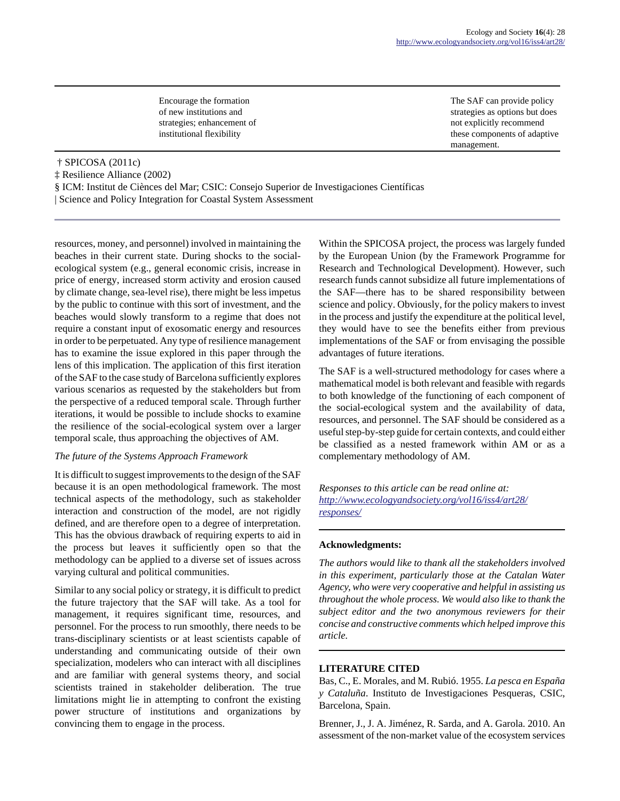Encourage the formation of new institutions and strategies; enhancement of institutional flexibility The SAF can provide policy strategies as options but does not explicitly recommend these components of adaptive management.

† SPICOSA (2011c)

‡ Resilience Alliance (2002)

§ ICM: Institut de Ciènces del Mar; CSIC: Consejo Superior de Investigaciones Científicas | Science and Policy Integration for Coastal System Assessment

resources, money, and personnel) involved in maintaining the beaches in their current state. During shocks to the socialecological system (e.g., general economic crisis, increase in price of energy, increased storm activity and erosion caused by climate change, sea-level rise), there might be less impetus by the public to continue with this sort of investment, and the beaches would slowly transform to a regime that does not require a constant input of exosomatic energy and resources in order to be perpetuated. Any type of resilience management has to examine the issue explored in this paper through the lens of this implication. The application of this first iteration of the SAF to the case study of Barcelona sufficiently explores various scenarios as requested by the stakeholders but from the perspective of a reduced temporal scale. Through further iterations, it would be possible to include shocks to examine the resilience of the social-ecological system over a larger temporal scale, thus approaching the objectives of AM.

## *The future of the Systems Approach Framework*

It is difficult to suggest improvements to the design of the SAF because it is an open methodological framework. The most technical aspects of the methodology, such as stakeholder interaction and construction of the model, are not rigidly defined, and are therefore open to a degree of interpretation. This has the obvious drawback of requiring experts to aid in the process but leaves it sufficiently open so that the methodology can be applied to a diverse set of issues across varying cultural and political communities.

Similar to any social policy or strategy, it is difficult to predict the future trajectory that the SAF will take. As a tool for management, it requires significant time, resources, and personnel. For the process to run smoothly, there needs to be trans-disciplinary scientists or at least scientists capable of understanding and communicating outside of their own specialization, modelers who can interact with all disciplines and are familiar with general systems theory, and social scientists trained in stakeholder deliberation. The true limitations might lie in attempting to confront the existing power structure of institutions and organizations by convincing them to engage in the process.

Within the SPICOSA project, the process was largely funded by the European Union (by the Framework Programme for Research and Technological Development). However, such research funds cannot subsidize all future implementations of the SAF—there has to be shared responsibility between science and policy. Obviously, for the policy makers to invest in the process and justify the expenditure at the political level, they would have to see the benefits either from previous implementations of the SAF or from envisaging the possible advantages of future iterations.

The SAF is a well-structured methodology for cases where a mathematical model is both relevant and feasible with regards to both knowledge of the functioning of each component of the social-ecological system and the availability of data, resources, and personnel. The SAF should be considered as a useful step-by-step guide for certain contexts, and could either be classified as a nested framework within AM or as a complementary methodology of AM.

*Responses to this article can be read online at: [http://www](http://www.ecologyandsociety.org/vol16/iss4/art28/responses/).ecologyandsociety.org/vol16/iss4/art28/ responses/*

## **Acknowledgments:**

*The authors would like to thank all the stakeholders involved in this experiment, particularly those at the Catalan Water Agency, who were very cooperative and helpful in assisting us throughout the whole process. We would also like to thank the subject editor and the two anonymous reviewers for their concise and constructive comments which helped improve this article.*

## **LITERATURE CITED**

Bas, C., E. Morales, and M. Rubió. 1955. *La pesca en España y Cataluña*. Instituto de Investigaciones Pesqueras, CSIC, Barcelona, Spain.

Brenner, J., J. A. Jiménez, R. Sarda, and A. Garola. 2010. An assessment of the non-market value of the ecosystem services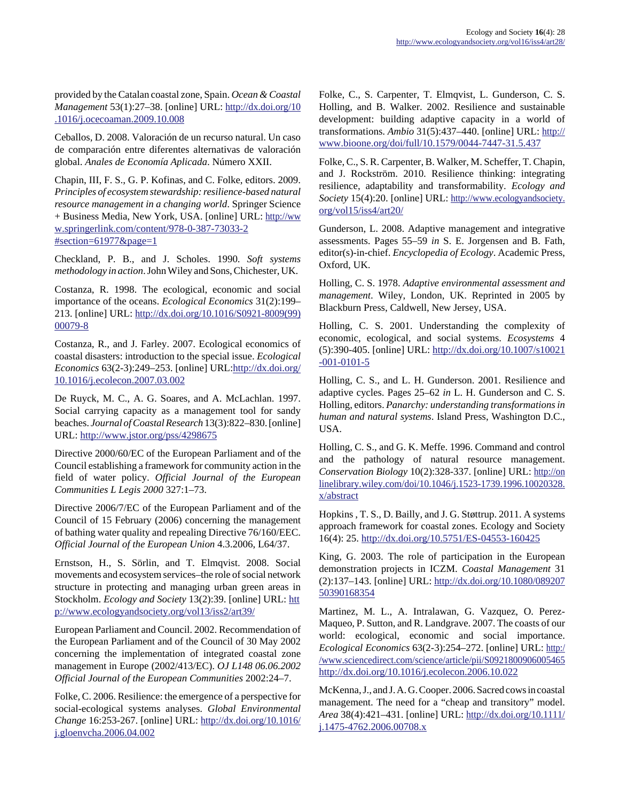provided by the Catalan coastal zone, Spain. *Ocean & Coastal Management* 53(1):27–38. [online] URL: [http://dx.doi.org/10](http://dx.doi.org/10.1016/j.ocecoaman.2009.10.008) [.1016/j.ocecoaman.2009.10.008](http://dx.doi.org/10.1016/j.ocecoaman.2009.10.008)

Ceballos, D. 2008. Valoración de un recurso natural. Un caso de comparación entre diferentes alternativas de valoración global. *Anales de Economía Aplicada*. Número XXII.

Chapin, III, F. S., G. P. Kofinas, and C. Folke, editors. 2009. *Principles of ecosystem stewardship: resilience-based natural resource management in a changing world*. Springer Science + Business Media, New York, USA. [online] URL: [http://ww](http://www.springerlink.com/content/978-0-387-73033-2#section=61977&page=1) w.springerlink.com/content/978-0-387-73033-2 [#section=61977&page=1](http://www.springerlink.com/content/978-0-387-73033-2#section=61977&page=1)

Checkland, P. B., and J. Scholes. 1990. *Soft systems methodology in action*. John Wiley and Sons, Chichester, UK.

Costanza, R. 1998. The ecological, economic and social importance of the oceans. *Ecological Economics* 31(2):199– 213. [online] URL: [http://dx.doi.org/10.1016/S0921-8009\(99\)](http://dx.doi.org/10.1016/S0921-8009(99)00079-8) [00079-8](http://dx.doi.org/10.1016/S0921-8009(99)00079-8)

Costanza, R., and J. Farley. 2007. Ecological economics of coastal disasters: introduction to the special issue. *Ecological Economics* 63(2-3):249–253. [online] URL[:http://dx.doi.org/](http://dx.doi.org/10.1016/j.ecolecon.2007.03.002) [10.1016/j.ecolecon.2007.03.002](http://dx.doi.org/10.1016/j.ecolecon.2007.03.002)

De Ruyck, M. C., A. G. Soares, and A. McLachlan. 1997. Social carrying capacity as a management tool for sandy beaches. *Journal of Coastal Research* 13(3):822–830. [online] URL:<http://www.jstor.org/pss/4298675>

Directive 2000/60/EC of the European Parliament and of the Council establishing a framework for community action in the field of water policy. *Official Journal of the European Communities L Legis 2000* 327:1–73.

Directive 2006/7/EC of the European Parliament and of the Council of 15 February (2006) concerning the management of bathing water quality and repealing Directive 76/160/EEC. *Official Journal of the European Union* 4.3.2006, L64/37.

Ernstson, H., S. Sörlin, and T. Elmqvist. 2008. Social movements and ecosystem services–the role of social network structure in protecting and managing urban green areas in Stockholm. *Ecology and Society* 13(2):39. [online] URL: [htt](http://www.ecologyandsociety.org/vol13/iss2/art39/) [p://www.ecologyandsociety.org/vol13/iss2/art39/](http://www.ecologyandsociety.org/vol13/iss2/art39/)

European Parliament and Council. 2002. Recommendation of the European Parliament and of the Council of 30 May 2002 concerning the implementation of integrated coastal zone management in Europe (2002/413/EC). *OJ L148 06.06.2002 Official Journal of the European Communities* 2002:24–7.

Folke, C. 2006. Resilience: the emergence of a perspective for social-ecological systems analyses. *Global Environmental Change* 16:253-267. [online] URL: [http://dx.doi.org/10.1016/](http://dx.doi.org/10.1016/j.gloenvcha.2006.04.002) [j.gloenvcha.2006.04.002](http://dx.doi.org/10.1016/j.gloenvcha.2006.04.002)

Folke, C., S. Carpenter, T. Elmqvist, L. Gunderson, C. S. Holling, and B. Walker. 2002. Resilience and sustainable development: building adaptive capacity in a world of transformations. *Ambio* 31(5):437–440. [online] URL: [http://](http://www.bioone.org/doi/full/10.1579/0044-7447-31.5.437) [www.bioone.org/doi/full/10.1579/0044-7447-31.5.437](http://www.bioone.org/doi/full/10.1579/0044-7447-31.5.437)

Folke, C., S. R. Carpenter, B. Walker, M. Scheffer, T. Chapin, and J. Rockström. 2010. Resilience thinking: integrating resilience, adaptability and transformability. *Ecology and Society* 15(4):20. [online] URL: [http://www.ecologyandsociety.](http://www.ecologyandsociety.org/vol15/iss4/art20/) [org/vol15/iss4/art20/](http://www.ecologyandsociety.org/vol15/iss4/art20/)

Gunderson, L. 2008. Adaptive management and integrative assessments. Pages 55–59 *in* S. E. Jorgensen and B. Fath, editor(s)-in-chief. *Encyclopedia of Ecology*. Academic Press, Oxford, UK.

Holling, C. S. 1978. *Adaptive environmental assessment and management*. Wiley, London, UK. Reprinted in 2005 by Blackburn Press, Caldwell, New Jersey, USA.

Holling, C. S. 2001. Understanding the complexity of economic, ecological, and social systems. *Ecosystems* 4 (5):390-405. [online] URL: [http://dx.doi.org/10.1007/s10021](http://dx.doi.org/10.1007/s10021-001-0101-5) [-001-0101-5](http://dx.doi.org/10.1007/s10021-001-0101-5)

Holling, C. S., and L. H. Gunderson. 2001. Resilience and adaptive cycles. Pages 25–62 *in* L. H. Gunderson and C. S. Holling, editors. *Panarchy: understanding transformations in human and natural systems*. Island Press, Washington D.C., USA.

Holling, C. S., and G. K. Meffe. 1996. Command and control and the pathology of natural resource management. *Conservation Biology* 10(2):328-337. [online] URL: [http://on](http://onlinelibrary.wiley.com/doi/10.1046/j.1523-1739.1996.10020328.x/abstract) linelibrary.wiley.com/doi/10.1046/j.1523-1739.1996.10020328. [x/abstract](http://onlinelibrary.wiley.com/doi/10.1046/j.1523-1739.1996.10020328.x/abstract) 

Hopkins , T. S., D. Bailly, and J. G. Støttrup. 2011. A systems approach framework for coastal zones. Ecology and Society 16(4): 25. <http://dx.doi.org/10.5751/ES-04553-160425>

King, G. 2003. The role of participation in the European demonstration projects in ICZM. *Coastal Management* 31 (2):137–143. [online] URL: [http://dx.doi.org/10.1080/089207](http://dx.doi.org/10.1080/08920750390168354) [50390168354](http://dx.doi.org/10.1080/08920750390168354)

Martinez, M. L., A. Intralawan, G. Vazquez, O. Perez-Maqueo, P. Sutton, and R. Landgrave. 2007. The coasts of our world: ecological, economic and social importance. *Ecological Economics* 63(2-3):254–272. [online] URL: [http:/](http://www.sciencedirect.com/science/article/pii/S0921800906005465) [/www.sciencedirect.com/science/article/pii/S0921800906005465](http://www.sciencedirect.com/science/article/pii/S0921800906005465) <http://dx.doi.org/10.1016/j.ecolecon.2006.10.022>

McKenna, J., and J. A. G. Cooper. 2006. Sacred cows in coastal management. The need for a "cheap and transitory" model. *Area* 38(4):421–431. [online] URL: [http://dx.doi.org/10.1111/](http://dx.doi.org/10.1111/j.1475-4762.2006.00708.x) [j.1475-4762.2006.00708.x](http://dx.doi.org/10.1111/j.1475-4762.2006.00708.x)